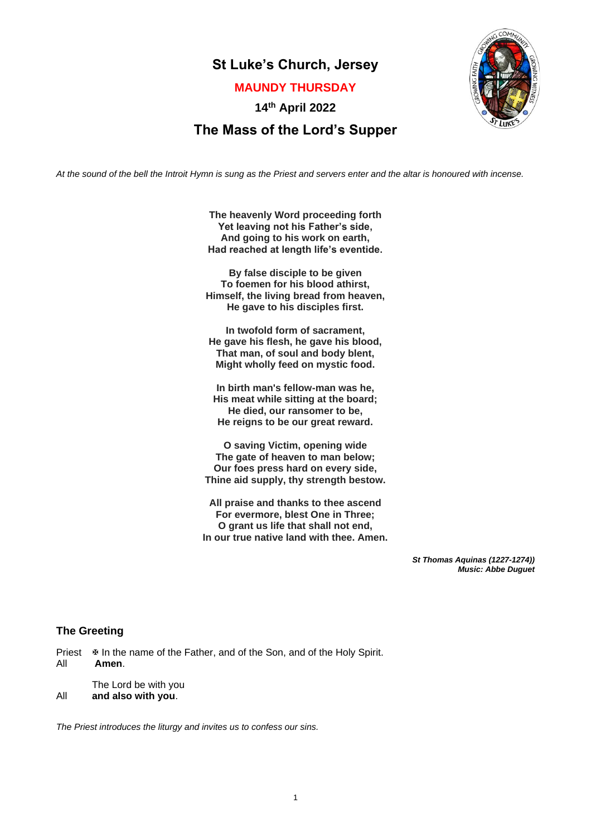# **St Luke's Church, Jersey**

**MAUNDY THURSDAY**

**14th April 2022**



# **The Mass of the Lord's Supper**

*At the sound of the bell the Introit Hymn is sung as the Priest and servers enter and the altar is honoured with incense.*

**The heavenly Word proceeding forth Yet leaving not his Father's side, And going to his work on earth, Had reached at length life's eventide.**

**By false disciple to be given To foemen for his blood athirst, Himself, the living bread from heaven, He gave to his disciples first.**

**In twofold form of sacrament, He gave his flesh, he gave his blood, That man, of soul and body blent, Might wholly feed on mystic food.**

**In birth man's fellow-man was he, His meat while sitting at the board; He died, our ransomer to be, He reigns to be our great reward.**

**O saving Victim, opening wide The gate of heaven to man below; Our foes press hard on every side, Thine aid supply, thy strength bestow.**

**All praise and thanks to thee ascend For evermore, blest One in Three; O grant us life that shall not end, In our true native land with thee. Amen.**

> *St Thomas Aquinas (1227-1274)) Music: Abbe Duguet*

# **The Greeting**

Priest  $\Phi$  In the name of the Father, and of the Son, and of the Holy Spirit. All **Amen**.

The Lord be with you All **and also with you**.

*The Priest introduces the liturgy and invites us to confess our sins.*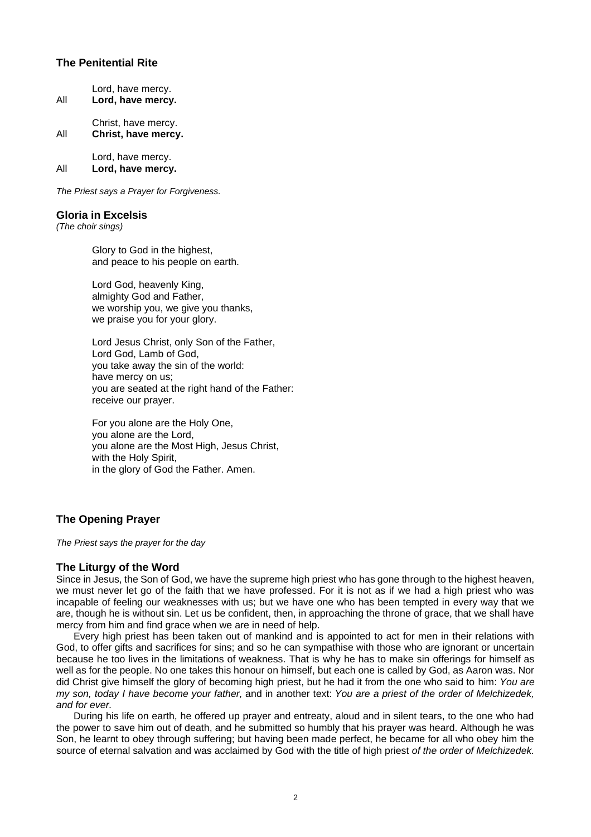# **The Penitential Rite**

| All | Lord, have mercy.<br>Lord, have mercy.     |
|-----|--------------------------------------------|
| All | Christ, have mercy.<br>Christ, have mercy. |
| All | Lord, have mercy.<br>Lord, have mercy.     |

*The Priest says a Prayer for Forgiveness.*

### **Gloria in Excelsis**

*(The choir sings)*

Glory to God in the highest, and peace to his people on earth.

Lord God, heavenly King, almighty God and Father, we worship you, we give you thanks, we praise you for your glory.

Lord Jesus Christ, only Son of the Father, Lord God, Lamb of God, you take away the sin of the world: have mercy on us; you are seated at the right hand of the Father: receive our prayer.

For you alone are the Holy One, you alone are the Lord, you alone are the Most High, Jesus Christ, with the Holy Spirit. in the glory of God the Father. Amen.

# **The Opening Prayer**

*The Priest says the prayer for the day*

## **The Liturgy of the Word**

Since in Jesus, the Son of God, we have the supreme high priest who has gone through to the highest heaven, we must never let go of the faith that we have professed. For it is not as if we had a high priest who was incapable of feeling our weaknesses with us; but we have one who has been tempted in every way that we are, though he is without sin. Let us be confident, then, in approaching the throne of grace, that we shall have mercy from him and find grace when we are in need of help.

 Every high priest has been taken out of mankind and is appointed to act for men in their relations with God, to offer gifts and sacrifices for sins; and so he can sympathise with those who are ignorant or uncertain because he too lives in the limitations of weakness. That is why he has to make sin offerings for himself as well as for the people. No one takes this honour on himself, but each one is called by God, as Aaron was. Nor did Christ give himself the glory of becoming high priest, but he had it from the one who said to him: *You are my son, today I have become your father,* and in another text: *You are a priest of the order of Melchizedek, and for ever.*

 During his life on earth, he offered up prayer and entreaty, aloud and in silent tears, to the one who had the power to save him out of death, and he submitted so humbly that his prayer was heard. Although he was Son, he learnt to obey through suffering; but having been made perfect, he became for all who obey him the source of eternal salvation and was acclaimed by God with the title of high priest *of the order of Melchizedek.*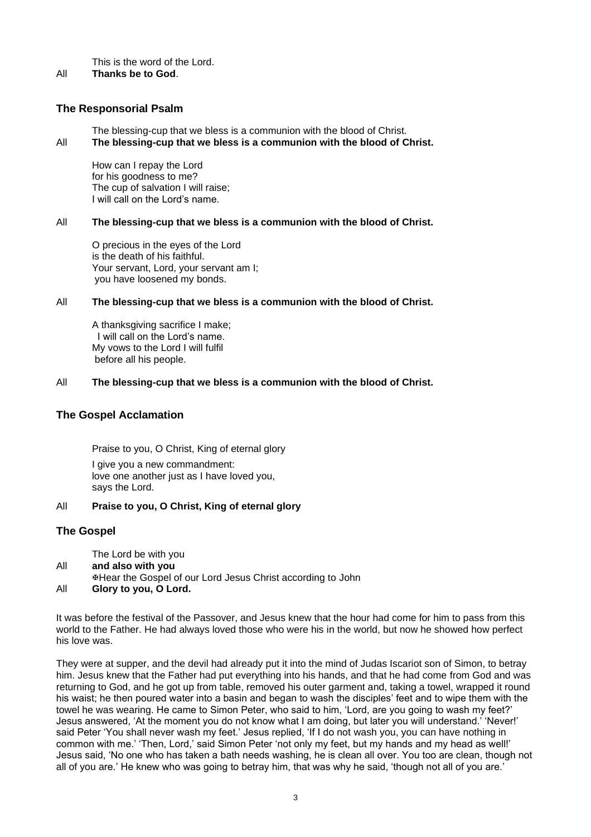This is the word of the Lord.

All **Thanks be to God**.

# **The Responsorial Psalm**

The blessing-cup that we bless is a communion with the blood of Christ.

All **The blessing-cup that we bless is a communion with the blood of Christ.**

How can I repay the Lord for his goodness to me? The cup of salvation I will raise; I will call on the Lord's name.

## All **The blessing-cup that we bless is a communion with the blood of Christ.**

O precious in the eyes of the Lord is the death of his faithful. Your servant, Lord, your servant am I; you have loosened my bonds.

## All **The blessing-cup that we bless is a communion with the blood of Christ.**

A thanksgiving sacrifice I make; I will call on the Lord's name. My vows to the Lord I will fulfil before all his people.

## All **The blessing-cup that we bless is a communion with the blood of Christ.**

# **The Gospel Acclamation**

Praise to you, O Christ, King of eternal glory

I give you a new commandment: love one another just as I have loved you, says the Lord.

# All **Praise to you, O Christ, King of eternal glory**

# **The Gospel**

The Lord be with you

- All **and also with you**
- Hear the Gospel of our Lord Jesus Christ according to John
- All **Glory to you, O Lord.**

It was before the festival of the Passover, and Jesus knew that the hour had come for him to pass from this world to the Father. He had always loved those who were his in the world, but now he showed how perfect his love was.

They were at supper, and the devil had already put it into the mind of Judas Iscariot son of Simon, to betray him. Jesus knew that the Father had put everything into his hands, and that he had come from God and was returning to God, and he got up from table, removed his outer garment and, taking a towel, wrapped it round his waist; he then poured water into a basin and began to wash the disciples' feet and to wipe them with the towel he was wearing. He came to Simon Peter, who said to him, 'Lord, are you going to wash my feet?' Jesus answered, 'At the moment you do not know what I am doing, but later you will understand.' 'Never!' said Peter 'You shall never wash my feet.' Jesus replied, 'If I do not wash you, you can have nothing in common with me.' 'Then, Lord,' said Simon Peter 'not only my feet, but my hands and my head as well!' Jesus said, 'No one who has taken a bath needs washing, he is clean all over. You too are clean, though not all of you are.' He knew who was going to betray him, that was why he said, 'though not all of you are.'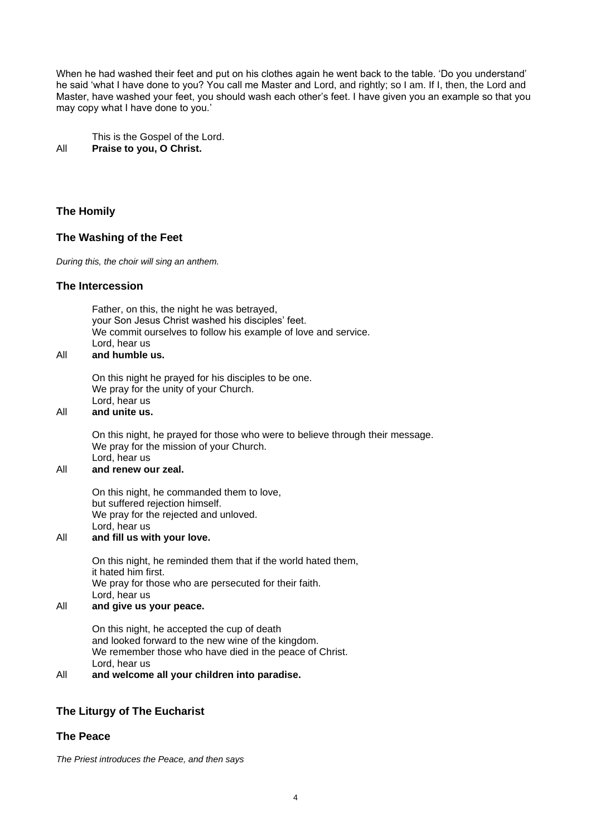When he had washed their feet and put on his clothes again he went back to the table. 'Do you understand' he said 'what I have done to you? You call me Master and Lord, and rightly; so I am. If I, then, the Lord and Master, have washed your feet, you should wash each other's feet. I have given you an example so that you may copy what I have done to you.'

This is the Gospel of the Lord. All **Praise to you, O Christ.**

# **The Homily**

# **The Washing of the Feet**

*During this, the choir will sing an anthem.*

## **The Intercession**

Father, on this, the night he was betrayed, your Son Jesus Christ washed his disciples' feet. We commit ourselves to follow his example of love and service. Lord, hear us

## All **and humble us.**

On this night he prayed for his disciples to be one. We pray for the unity of your Church. Lord, hear us

#### All **and unite us.**

On this night, he prayed for those who were to believe through their message. We pray for the mission of your Church. Lord, hear us

### All **and renew our zeal.**

On this night, he commanded them to love, but suffered rejection himself. We pray for the rejected and unloved. Lord, hear us

# All **and fill us with your love.**

On this night, he reminded them that if the world hated them, it hated him first. We pray for those who are persecuted for their faith. Lord, hear us

# All **and give us your peace.**

On this night, he accepted the cup of death and looked forward to the new wine of the kingdom. We remember those who have died in the peace of Christ. Lord, hear us

### All **and welcome all your children into paradise.**

# **The Liturgy of The Eucharist**

## **The Peace**

*The Priest introduces the Peace, and then says*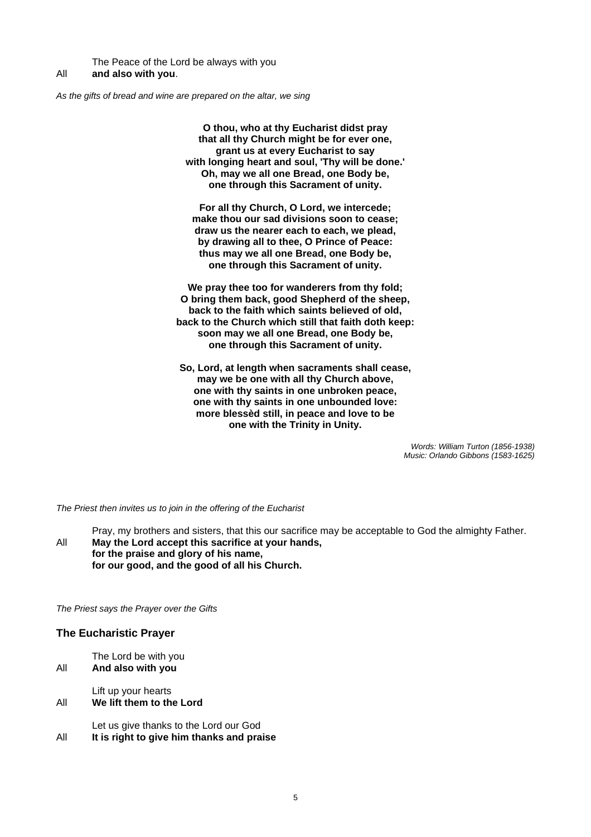The Peace of the Lord be always with you All **and also with you**.

*As the gifts of bread and wine are prepared on the altar, we sing*

**O thou, who at thy Eucharist didst pray that all thy Church might be for ever one, grant us at every Eucharist to say with longing heart and soul, 'Thy will be done.' Oh, may we all one Bread, one Body be, one through this Sacrament of unity.**

**For all thy Church, O Lord, we intercede; make thou our sad divisions soon to cease; draw us the nearer each to each, we plead, by drawing all to thee, O Prince of Peace: thus may we all one Bread, one Body be, one through this Sacrament of unity.**

**We pray thee too for wanderers from thy fold; O bring them back, good Shepherd of the sheep, back to the faith which saints believed of old, back to the Church which still that faith doth keep: soon may we all one Bread, one Body be, one through this Sacrament of unity.**

**So, Lord, at length when sacraments shall cease, may we be one with all thy Church above, one with thy saints in one unbroken peace, one with thy saints in one unbounded love: more blessèd still, in peace and love to be one with the Trinity in Unity.**

> *Words: William Turton (1856-1938) Music: Orlando Gibbons (1583-1625)*

*The Priest then invites us to join in the offering of the Eucharist*

Pray, my brothers and sisters, that this our sacrifice may be acceptable to God the almighty Father. All **May the Lord accept this sacrifice at your hands, for the praise and glory of his name, for our good, and the good of all his Church.** 

*The Priest says the Prayer over the Gifts*

## **The Eucharistic Prayer**

The Lord be with you

All **And also with you**

Lift up your hearts

All **We lift them to the Lord**

Let us give thanks to the Lord our God All **It is right to give him thanks and praise**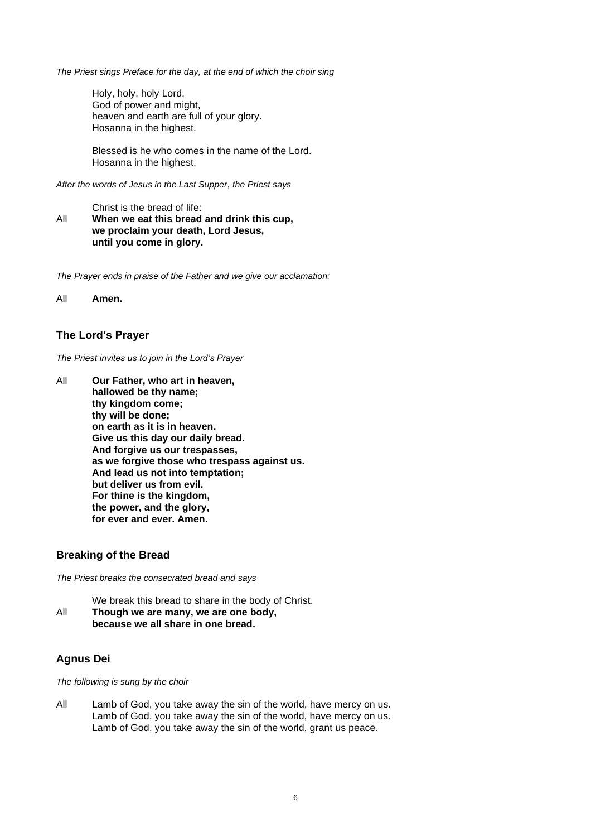*The Priest sings Preface for the day, at the end of which the choir sing*

Holy, holy, holy Lord, God of power and might, heaven and earth are full of your glory. Hosanna in the highest.

Blessed is he who comes in the name of the Lord. Hosanna in the highest.

*After the words of Jesus in the Last Supper*, *the Priest says*

Christ is the bread of life:

All **When we eat this bread and drink this cup, we proclaim your death, Lord Jesus, until you come in glory.**

*The Prayer ends in praise of the Father and we give our acclamation:*

All **Amen.**

# **The Lord's Prayer**

*The Priest invites us to join in the Lord's Prayer* 

All **Our Father, who art in heaven, hallowed be thy name; thy kingdom come; thy will be done; on earth as it is in heaven. Give us this day our daily bread. And forgive us our trespasses, as we forgive those who trespass against us. And lead us not into temptation; but deliver us from evil. For thine is the kingdom, the power, and the glory, for ever and ever. Amen.** 

## **Breaking of the Bread**

*The Priest breaks the consecrated bread and says*

We break this bread to share in the body of Christ. All **Though we are many, we are one body, because we all share in one bread.**

# **Agnus Dei**

*The following is sung by the choir*

All Lamb of God, you take away the sin of the world, have mercy on us. Lamb of God, you take away the sin of the world, have mercy on us. Lamb of God, you take away the sin of the world, grant us peace.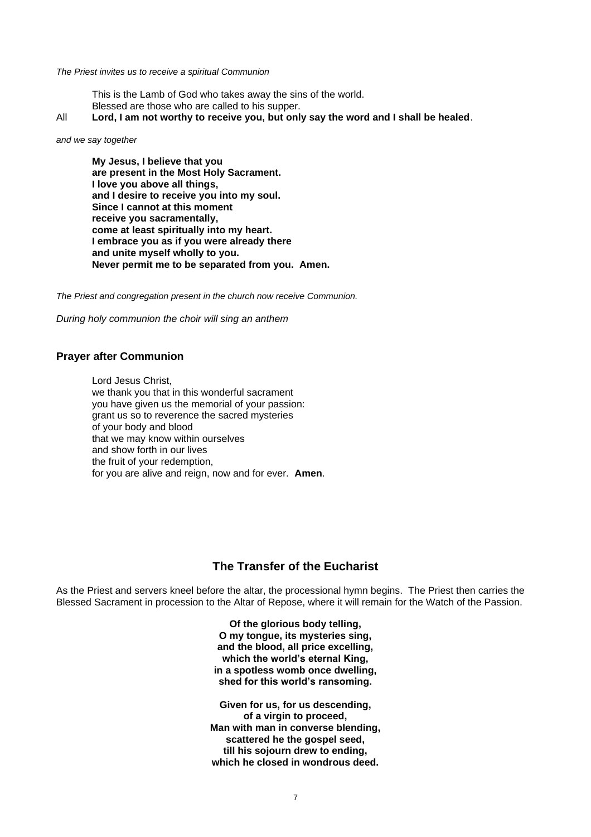#### *The Priest invites us to receive a spiritual Communion*

This is the Lamb of God who takes away the sins of the world. Blessed are those who are called to his supper.

All **Lord, I am not worthy to receive you, but only say the word and I shall be healed**.

*and we say together*

**My Jesus, I believe that you are present in the Most Holy Sacrament. I love you above all things, and I desire to receive you into my soul. Since I cannot at this moment receive you sacramentally, come at least spiritually into my heart. I embrace you as if you were already there and unite myself wholly to you. Never permit me to be separated from you. Amen.**

*The Priest and congregation present in the church now receive Communion.* 

*During holy communion the choir will sing an anthem*

### **Prayer after Communion**

Lord Jesus Christ, we thank you that in this wonderful sacrament you have given us the memorial of your passion: grant us so to reverence the sacred mysteries of your body and blood that we may know within ourselves and show forth in our lives the fruit of your redemption, for you are alive and reign, now and for ever. **Amen**.

# **The Transfer of the Eucharist**

As the Priest and servers kneel before the altar, the processional hymn begins. The Priest then carries the Blessed Sacrament in procession to the Altar of Repose, where it will remain for the Watch of the Passion.

> **Of the glorious body telling, O my tongue, its mysteries sing, and the blood, all price excelling, which the world's eternal King, in a spotless womb once dwelling, shed for this world's ransoming.**

**Given for us, for us descending, of a virgin to proceed, Man with man in converse blending, scattered he the gospel seed, till his sojourn drew to ending, which he closed in wondrous deed.**